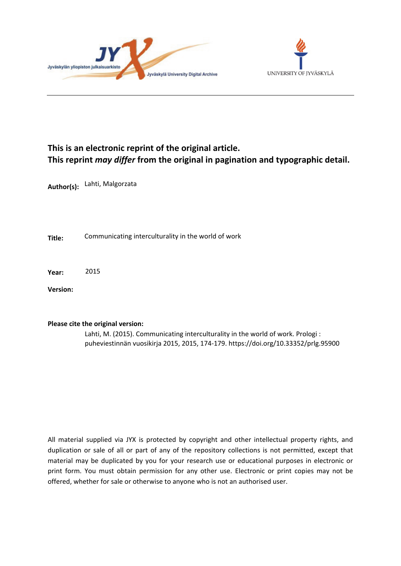



# **This is an electronic reprint of the original article. This reprint** *may differ* **from the original in pagination and typographic detail.**

**Author(s):**  Lahti, Malgorzata

**Title:** Communicating interculturality in the world of work

**Year:**  2015

**Version:**

## **Please cite the original version:**

Lahti, M. (2015). Communicating interculturality in the world of work. Prologi : puheviestinnän vuosikirja 2015, 2015, 174-179. https://doi.org/10.33352/prlg.95900

All material supplied via JYX is protected by copyright and other intellectual property rights, and duplication or sale of all or part of any of the repository collections is not permitted, except that material may be duplicated by you for your research use or educational purposes in electronic or print form. You must obtain permission for any other use. Electronic or print copies may not be offered, whether for sale or otherwise to anyone who is not an authorised user.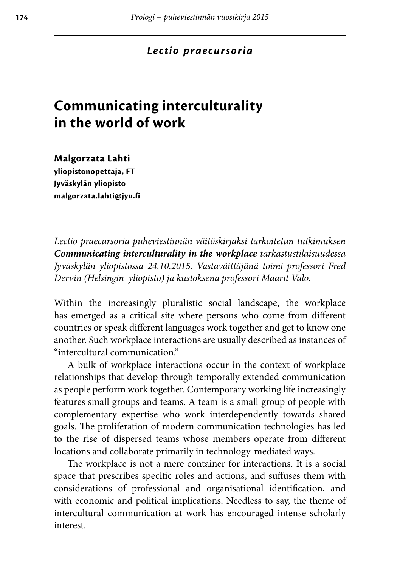## **Communicating interculturality in the world of work**

**Malgorzata Lahti yliopistonopettaja, FT Jyväskylän yliopisto malgorzata.lahti@jyu.fi**

*Lectio praecursoria puheviestinnän väitöskirjaksi tarkoitetun tutkimuksen Communicating interculturality in the workplace tarkastustilaisuudessa Jyväskylän yliopistossa 24.10.2015. Vastaväittäjänä toimi professori Fred Dervin (Helsingin yliopisto) ja kustoksena professori Maarit Valo.*

Within the increasingly pluralistic social landscape, the workplace has emerged as a critical site where persons who come from different countries or speak different languages work together and get to know one another. Such workplace interactions are usually described as instances of "intercultural communication."

A bulk of workplace interactions occur in the context of workplace relationships that develop through temporally extended communication as people perform work together. Contemporary working life increasingly features small groups and teams. A team is a small group of people with complementary expertise who work interdependently towards shared goals. The proliferation of modern communication technologies has led to the rise of dispersed teams whose members operate from different locations and collaborate primarily in technology-mediated ways.

The workplace is not a mere container for interactions. It is a social space that prescribes specific roles and actions, and suffuses them with considerations of professional and organisational identification, and with economic and political implications. Needless to say, the theme of intercultural communication at work has encouraged intense scholarly interest.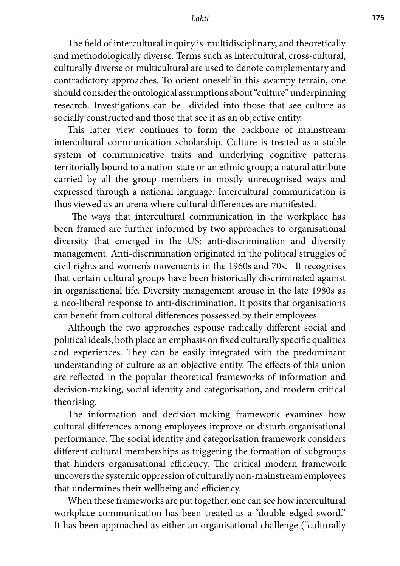#### *Lahti* **175**

The field of intercultural inquiry is multidisciplinary, and theoretically and methodologically diverse. Terms such as intercultural, cross-cultural, culturally diverse or multicultural are used to denote complementary and contradictory approaches. To orient oneself in this swampy terrain, one should consider the ontological assumptions about "culture" underpinning research. Investigations can be divided into those that see culture as socially constructed and those that see it as an objective entity.

This latter view continues to form the backbone of mainstream intercultural communication scholarship. Culture is treated as a stable system of communicative traits and underlying cognitive patterns territorially bound to a nation-state or an ethnic group; a natural attribute carried by all the group members in mostly unrecognised ways and expressed through a national language. Intercultural communication is thus viewed as an arena where cultural differences are manifested.

 The ways that intercultural communication in the workplace has been framed are further informed by two approaches to organisational diversity that emerged in the US: anti-discrimination and diversity management. Anti-discrimination originated in the political struggles of civil rights and women's movements in the 1960s and 70s. It recognises that certain cultural groups have been historically discriminated against in organisational life. Diversity management arouse in the late 1980s as a neo-liberal response to anti-discrimination. It posits that organisations can benefit from cultural differences possessed by their employees.

Although the two approaches espouse radically different social and political ideals, both place an emphasis on fixed culturally specific qualities and experiences. They can be easily integrated with the predominant understanding of culture as an objective entity. The effects of this union are reflected in the popular theoretical frameworks of information and decision-making, social identity and categorisation, and modern critical theorising.

The information and decision-making framework examines how cultural differences among employees improve or disturb organisational performance. The social identity and categorisation framework considers different cultural memberships as triggering the formation of subgroups that hinders organisational efficiency. The critical modern framework uncovers the systemic oppression of culturally non-mainstream employees that undermines their wellbeing and efficiency.

When these frameworks are put together, one can see how intercultural workplace communication has been treated as a "double-edged sword." It has been approached as either an organisational challenge ("culturally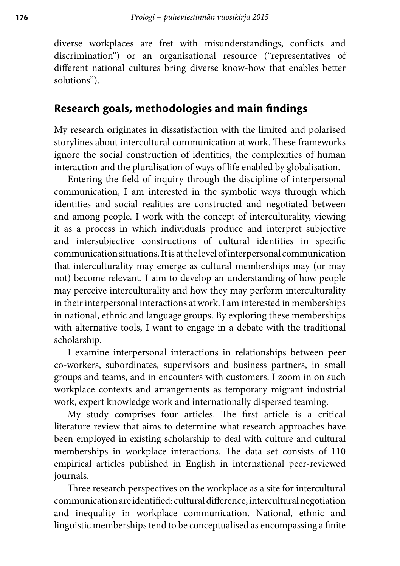diverse workplaces are fret with misunderstandings, conflicts and discrimination") or an organisational resource ("representatives of different national cultures bring diverse know-how that enables better solutions").

## **Research goals, methodologies and main findings**

My research originates in dissatisfaction with the limited and polarised storylines about intercultural communication at work. These frameworks ignore the social construction of identities, the complexities of human interaction and the pluralisation of ways of life enabled by globalisation.

Entering the field of inquiry through the discipline of interpersonal communication, I am interested in the symbolic ways through which identities and social realities are constructed and negotiated between and among people. I work with the concept of interculturality, viewing it as a process in which individuals produce and interpret subjective and intersubjective constructions of cultural identities in specific communication situations. It is at the level of interpersonal communication that interculturality may emerge as cultural memberships may (or may not) become relevant. I aim to develop an understanding of how people may perceive interculturality and how they may perform interculturality in their interpersonal interactions at work. I am interested in memberships in national, ethnic and language groups. By exploring these memberships with alternative tools, I want to engage in a debate with the traditional scholarship.

I examine interpersonal interactions in relationships between peer co-workers, subordinates, supervisors and business partners, in small groups and teams, and in encounters with customers. I zoom in on such workplace contexts and arrangements as temporary migrant industrial work, expert knowledge work and internationally dispersed teaming.

My study comprises four articles. The first article is a critical literature review that aims to determine what research approaches have been employed in existing scholarship to deal with culture and cultural memberships in workplace interactions. The data set consists of 110 empirical articles published in English in international peer-reviewed journals.

Three research perspectives on the workplace as a site for intercultural communication are identified: cultural difference, intercultural negotiation and inequality in workplace communication. National, ethnic and linguistic memberships tend to be conceptualised as encompassing a finite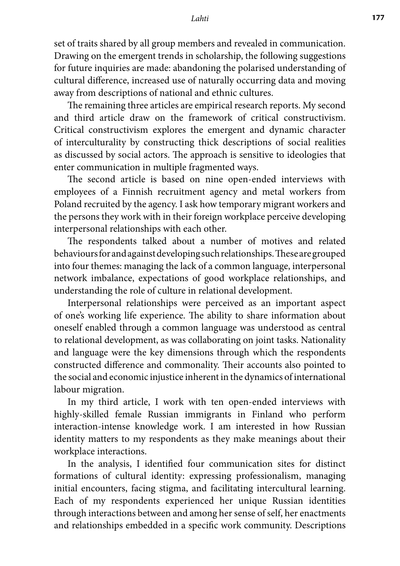#### *Lahti* **177**

set of traits shared by all group members and revealed in communication. Drawing on the emergent trends in scholarship, the following suggestions for future inquiries are made: abandoning the polarised understanding of cultural difference, increased use of naturally occurring data and moving away from descriptions of national and ethnic cultures.

The remaining three articles are empirical research reports. My second and third article draw on the framework of critical constructivism. Critical constructivism explores the emergent and dynamic character of interculturality by constructing thick descriptions of social realities as discussed by social actors. The approach is sensitive to ideologies that enter communication in multiple fragmented ways.

The second article is based on nine open-ended interviews with employees of a Finnish recruitment agency and metal workers from Poland recruited by the agency. I ask how temporary migrant workers and the persons they work with in their foreign workplace perceive developing interpersonal relationships with each other.

The respondents talked about a number of motives and related behaviours for and against developing such relationships. These are grouped into four themes: managing the lack of a common language, interpersonal network imbalance, expectations of good workplace relationships, and understanding the role of culture in relational development.

Interpersonal relationships were perceived as an important aspect of one's working life experience. The ability to share information about oneself enabled through a common language was understood as central to relational development, as was collaborating on joint tasks. Nationality and language were the key dimensions through which the respondents constructed difference and commonality. Their accounts also pointed to the social and economic injustice inherent in the dynamics of international labour migration.

In my third article, I work with ten open-ended interviews with highly-skilled female Russian immigrants in Finland who perform interaction-intense knowledge work. I am interested in how Russian identity matters to my respondents as they make meanings about their workplace interactions.

In the analysis, I identified four communication sites for distinct formations of cultural identity: expressing professionalism, managing initial encounters, facing stigma, and facilitating intercultural learning. Each of my respondents experienced her unique Russian identities through interactions between and among her sense of self, her enactments and relationships embedded in a specific work community. Descriptions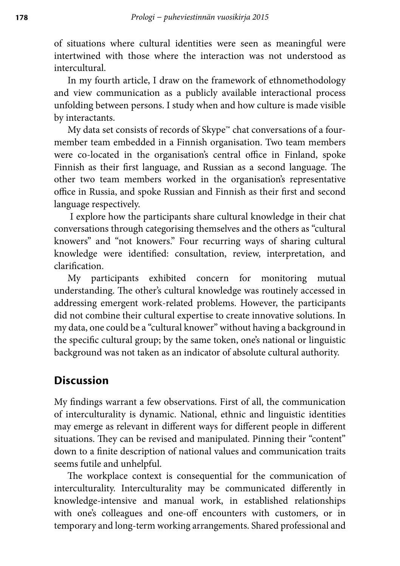of situations where cultural identities were seen as meaningful were intertwined with those where the interaction was not understood as intercultural.

In my fourth article, I draw on the framework of ethnomethodology and view communication as a publicly available interactional process unfolding between persons. I study when and how culture is made visible by interactants.

My data set consists of records of Skype™ chat conversations of a fourmember team embedded in a Finnish organisation. Two team members were co-located in the organisation's central office in Finland, spoke Finnish as their first language, and Russian as a second language. The other two team members worked in the organisation's representative office in Russia, and spoke Russian and Finnish as their first and second language respectively.

 I explore how the participants share cultural knowledge in their chat conversations through categorising themselves and the others as "cultural knowers" and "not knowers." Four recurring ways of sharing cultural knowledge were identified: consultation, review, interpretation, and clarification.

My participants exhibited concern for monitoring mutual understanding. The other's cultural knowledge was routinely accessed in addressing emergent work-related problems. However, the participants did not combine their cultural expertise to create innovative solutions. In my data, one could be a "cultural knower" without having a background in the specific cultural group; by the same token, one's national or linguistic background was not taken as an indicator of absolute cultural authority.

## **Discussion**

My findings warrant a few observations. First of all, the communication of interculturality is dynamic. National, ethnic and linguistic identities may emerge as relevant in different ways for different people in different situations. They can be revised and manipulated. Pinning their "content" down to a finite description of national values and communication traits seems futile and unhelpful.

The workplace context is consequential for the communication of interculturality. Interculturality may be communicated differently in knowledge-intensive and manual work, in established relationships with one's colleagues and one-off encounters with customers, or in temporary and long-term working arrangements. Shared professional and